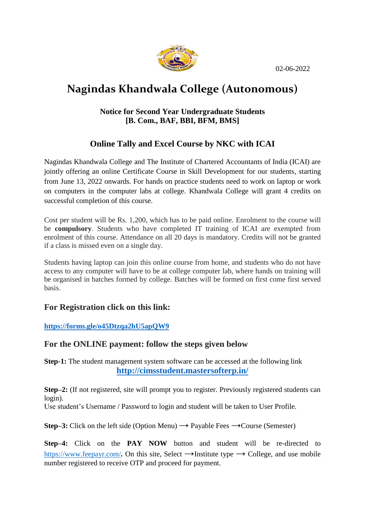02-06-2022



# **Nagindas Khandwala College (Autonomous)**

#### **Notice for Second Year Undergraduate Students [B. Com., BAF, BBI, BFM, BMS]**

### **Online Tally and Excel Course by NKC with ICAI**

Nagindas Khandwala College and The Institute of Chartered Accountants of India (ICAI) are jointly offering an online Certificate Course in Skill Development for our students, starting from June 13, 2022 onwards. For hands on practice students need to work on laptop or work on computers in the computer labs at college. Khandwala College will grant 4 credits on successful completion of this course.

Cost per student will be Rs. 1,200, which has to be paid online. Enrolment to the course will be **compulsory**. Students who have completed IT training of ICAI are exempted from enrolment of this course. Attendance on all 20 days is mandatory. Credits will not be granted if a class is missed even on a single day.

Students having laptop can join this online course from home, and students who do not have access to any computer will have to be at college computer lab, where hands on training will be organised in batches formed by college. Batches will be formed on first come first served basis.

#### **For Registration click on this link:**

**<https://forms.gle/o45Dtzqa2hU5apQW9>**

#### **For the ONLINE payment: follow the steps given below**

**Step-1:** The student management system software can be accessed at the following link **<http://cimsstudent.mastersofterp.in/>**

**Step–2:** (If not registered, site will prompt you to register. Previously registered students can login).

Use student's Username / Password to login and student will be taken to User Profile.

**Step–3:** Click on the left side (Option Menu)  $\rightarrow$  Payable Fees  $\rightarrow$  Course (Semester)

**Step–4:** Click on the **PAY NOW** button and student will be re-directed to <https://www.feepayr.com/>. On this site, Select  $\rightarrow$ Institute type  $\rightarrow$  College, and use mobile number registered to receive OTP and proceed for payment.